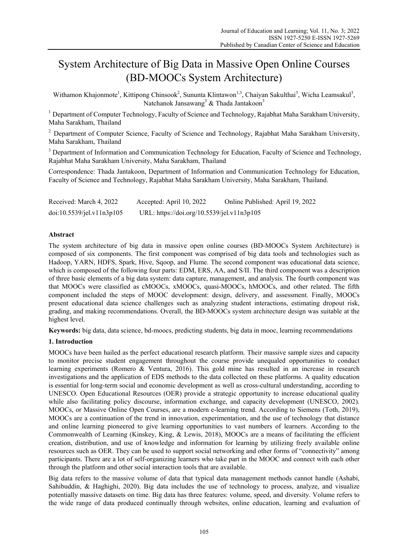# System Architecture of Big Data in Massive Open Online Courses (BD-MOOCs System Architecture)

Withamon Khajonmote<sup>1</sup>, Kittipong Chinsook<sup>2</sup>, Sununta Klintawon<sup>1,3</sup>, Chaiyan Sakulthai<sup>3</sup>, Wicha Leamsakul<sup>3</sup>, Natchanok Jansawang<sup>3</sup> & Thada Jantakoon<sup>3</sup>

<sup>1</sup> Department of Computer Technology, Faculty of Science and Technology, Rajabhat Maha Sarakham University, Maha Sarakham, Thailand

<sup>2</sup> Department of Computer Science, Faculty of Science and Technology, Rajabhat Maha Sarakham University, Maha Sarakham, Thailand

<sup>3</sup> Department of Information and Communication Technology for Education, Faculty of Science and Technology, Rajabhat Maha Sarakham University, Maha Sarakham, Thailand

Correspondence: Thada Jantakoon, Department of Information and Communication Technology for Education, Faculty of Science and Technology, Rajabhat Maha Sarakham University, Maha Sarakham, Thailand.

| Received: March 4, 2022   | Accepted: April 10, 2022                   | Online Published: April 19, 2022 |
|---------------------------|--------------------------------------------|----------------------------------|
| doi:10.5539/jel.v11n3p105 | URL: https://doi.org/10.5539/jel.v11n3p105 |                                  |

## **Abstract**

The system architecture of big data in massive open online courses (BD-MOOCs System Architecture) is composed of six components. The first component was comprised of big data tools and technologies such as Hadoop, YARN, HDFS, Spark, Hive, Sqoop, and Flume. The second component was educational data science, which is composed of the following four parts: EDM, ERS, AA, and S/II. The third component was a description of three basic elements of a big data system: data capture, management, and analysis. The fourth component was that MOOCs were classified as cMOOCs, xMOOCs, quasi-MOOCs, hMOOCs, and other related. The fifth component included the steps of MOOC development: design, delivery, and assessment. Finally, MOOCs present educational data science challenges such as analyzing student interactions, estimating dropout risk, grading, and making recommendations. Overall, the BD-MOOCs system architecture design was suitable at the highest level.

**Keywords:** big data, data science, bd-moocs, predicting students, big data in mooc, learning recommendations

## **1. Introduction**

MOOCs have been hailed as the perfect educational research platform. Their massive sample sizes and capacity to monitor precise student engagement throughout the course provide unequaled opportunities to conduct learning experiments (Romero & Ventura, 2016). This gold mine has resulted in an increase in research investigations and the application of EDS methods to the data collected on these platforms. A quality education is essential for long-term social and economic development as well as cross-cultural understanding, according to UNESCO. Open Educational Resources (OER) provide a strategic opportunity to increase educational quality while also facilitating policy discourse, information exchange, and capacity development (UNESCO, 2002). MOOCs, or Massive Online Open Courses, are a modern e-learning trend. According to Siemens (Toth, 2019), MOOCs are a continuation of the trend in innovation, experimentation, and the use of technology that distance and online learning pioneered to give learning opportunities to vast numbers of learners. According to the Commonwealth of Learning (Kinskey, King, & Lewis, 2018), MOOCs are a means of facilitating the efficient creation, distribution, and use of knowledge and information for learning by utilizing freely available online resources such as OER. They can be used to support social networking and other forms of "connectivity" among participants. There are a lot of self-organizing learners who take part in the MOOC and connect with each other through the platform and other social interaction tools that are available.

Big data refers to the massive volume of data that typical data management methods cannot handle (Ashabi, Sahibuddin, & Haghighi, 2020). Big data includes the use of technology to process, analyze, and visualize potentially massive datasets on time. Big data has three features: volume, speed, and diversity. Volume refers to the wide range of data produced continually through websites, online education, learning and evaluation of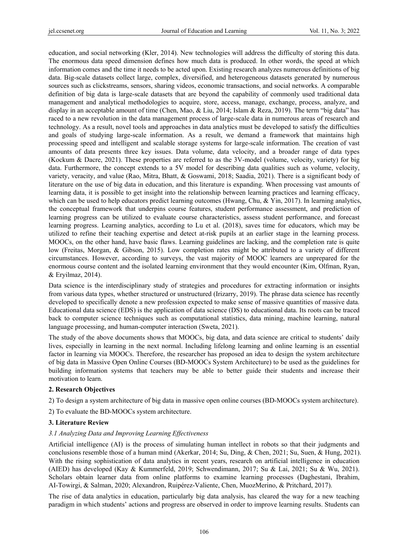education, and social networking (Kler, 2014). New technologies will address the difficulty of storing this data. The enormous data speed dimension defines how much data is produced. In other words, the speed at which information comes and the time it needs to be acted upon. Existing research analyzes numerous definitions of big data. Big-scale datasets collect large, complex, diversified, and heterogeneous datasets generated by numerous sources such as clickstreams, sensors, sharing videos, economic transactions, and social networks. A comparable definition of big data is large-scale datasets that are beyond the capability of commonly used traditional data management and analytical methodologies to acquire, store, access, manage, exchange, process, analyze, and display in an acceptable amount of time (Chen, Mao, & Liu, 2014; Islam & Reza, 2019). The term "big data" has raced to a new revolution in the data management process of large-scale data in numerous areas of research and technology. As a result, novel tools and approaches in data analytics must be developed to satisfy the difficulties and goals of studying large-scale information. As a result, we demand a framework that maintains high processing speed and intelligent and scalable storage systems for large-scale information. The creation of vast amounts of data presents three key issues. Data volume, data velocity, and a broader range of data types (Kockum & Dacre, 2021). These properties are referred to as the 3V-model (volume, velocity, variety) for big data. Furthermore, the concept extends to a 5V model for describing data qualities such as volume, velocity, variety, veracity, and value (Rao, Mitra, Bhatt, & Goswami, 2018; Saadia, 2021). There is a significant body of literature on the use of big data in education, and this literature is expanding. When processing vast amounts of learning data, it is possible to get insight into the relationship between learning practices and learning efficacy, which can be used to help educators predict learning outcomes (Hwang, Chu, & Yin, 2017). In learning analytics, the conceptual framework that underpins course features, student performance assessment, and prediction of learning progress can be utilized to evaluate course characteristics, assess student performance, and forecast learning progress. Learning analytics, according to Lu et al. (2018), saves time for educators, which may be utilized to refine their teaching expertise and detect at-risk pupils at an earlier stage in the learning process. MOOCs, on the other hand, have basic flaws. Learning guidelines are lacking, and the completion rate is quite low (Freitas, Morgan, & Gibson, 2015). Low completion rates might be attributed to a variety of different circumstances. However, according to surveys, the vast majority of MOOC learners are unprepared for the enormous course content and the isolated learning environment that they would encounter (Kim, Olfman, Ryan, & Eryilmaz, 2014).

Data science is the interdisciplinary study of strategies and procedures for extracting information or insights from various data types, whether structured or unstructured (Irizarry, 2019). The phrase data science has recently developed to specifically denote a new profession expected to make sense of massive quantities of massive data. Educational data science (EDS) is the application of data science (DS) to educational data. Its roots can be traced back to computer science techniques such as computational statistics, data mining, machine learning, natural language processing, and human-computer interaction (Sweta, 2021).

The study of the above documents shows that MOOCs, big data, and data science are critical to students' daily lives, especially in learning in the next normal. Including lifelong learning and online learning is an essential factor in learning via MOOCs. Therefore, the researcher has proposed an idea to design the system architecture of big data in Massive Open Online Courses (BD-MOOCs System Architecture) to be used as the guidelines for building information systems that teachers may be able to better guide their students and increase their motivation to learn.

#### **2. Research Objectives**

- 2) To design a system architecture of big data in massive open online courses (BD-MOOCs system architecture).
- 2) To evaluate the BD-MOOCs system architecture.

## **3. Literature Review**

#### *3.1 Analyzing Data and Improving Learning Effectiveness*

Artificial intelligence (AI) is the process of simulating human intellect in robots so that their judgments and conclusions resemble those of a human mind (Akerkar, 2014; Su, Ding, & Chen, 2021; Su, Suen, & Hung, 2021). With the rising sophistication of data analytics in recent years, research on artificial intelligence in education (AIED) has developed (Kay & Kummerfeld, 2019; Schwendimann, 2017; Su & Lai, 2021; Su & Wu, 2021). Scholars obtain learner data from online platforms to examine learning processes (Daghestani, Ibrahim, AI-Towirgi, & Salman, 2020; Alexandron, Ruipérez-Valiente, Chen, MuozMerino, & Pritchard, 2017).

The rise of data analytics in education, particularly big data analysis, has cleared the way for a new teaching paradigm in which students' actions and progress are observed in order to improve learning results. Students can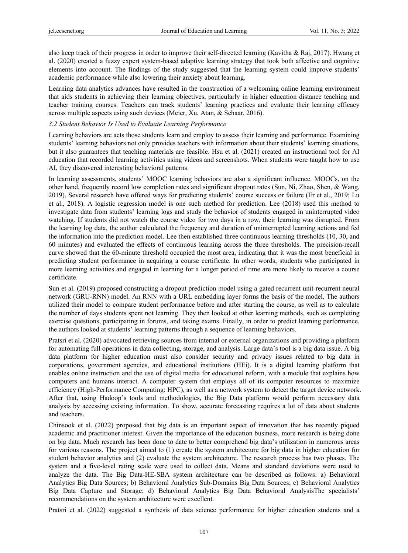also keep track of their progress in order to improve their self-directed learning (Kavitha & Raj, 2017). Hwang et al. (2020) created a fuzzy expert system-based adaptive learning strategy that took both affective and cognitive elements into account. The findings of the study suggested that the learning system could improve students' academic performance while also lowering their anxiety about learning.

Learning data analytics advances have resulted in the construction of a welcoming online learning environment that aids students in achieving their learning objectives, particularly in higher education distance teaching and teacher training courses. Teachers can track students' learning practices and evaluate their learning efficacy across multiple aspects using such devices (Meier, Xu, Atan, & Schaar, 2016).

#### *3.2 Student Behavior Is Used to Evaluate Learning Performance*

Learning behaviors are acts those students learn and employ to assess their learning and performance. Examining students' learning behaviors not only provides teachers with information about their students' learning situations, but it also guarantees that teaching materials are feasible. Hsu et al. (2021) created an instructional tool for AI education that recorded learning activities using videos and screenshots. When students were taught how to use AI, they discovered interesting behavioral patterns.

In learning assessments, students' MOOC learning behaviors are also a significant influence. MOOCs, on the other hand, frequently record low completion rates and significant dropout rates (Sun, Ni, Zhao, Shen, & Wang, 2019). Several research have offered ways for predicting students' course success or failure (Er et al., 2019; Lu et al., 2018). A logistic regression model is one such method for prediction. Lee (2018) used this method to investigate data from students' learning logs and study the behavior of students engaged in uninterrupted video watching. If students did not watch the course video for two days in a row, their learning was disrupted. From the learning log data, the author calculated the frequency and duration of uninterrupted learning actions and fed the information into the prediction model. Lee then established three continuous learning thresholds (10, 30, and 60 minutes) and evaluated the effects of continuous learning across the three thresholds. The precision-recall curve showed that the 60-minute threshold occupied the most area, indicating that it was the most beneficial in predicting student performance in acquiring a course certificate. In other words, students who participated in more learning activities and engaged in learning for a longer period of time are more likely to receive a course certificate.

Sun et al. (2019) proposed constructing a dropout prediction model using a gated recurrent unit-recurrent neural network (GRU-RNN) model. An RNN with a URL embedding layer forms the basis of the model. The authors utilized their model to compare student performance before and after starting the course, as well as to calculate the number of days students spent not learning. They then looked at other learning methods, such as completing exercise questions, participating in forums, and taking exams. Finally, in order to predict learning performance, the authors looked at students' learning patterns through a sequence of learning behaviors.

Pratsri et al. (2020) advocated retrieving sources from internal or external organizations and providing a platform for automating full operations in data collecting, storage, and analysis. Large data's tool is a big data issue. A big data platform for higher education must also consider security and privacy issues related to big data in corporations, government agencies, and educational institutions (HEi). It is a digital learning platform that enables online instruction and the use of digital media for educational reform, with a module that explains how computers and humans interact. A computer system that employs all of its computer resources to maximize efficiency (High-Performance Computing: HPC), as well as a network system to detect the target device network. After that, using Hadoop's tools and methodologies, the Big Data platform would perform necessary data analysis by accessing existing information. To show, accurate forecasting requires a lot of data about students and teachers.

Chinsook et al. (2022) proposed that big data is an important aspect of innovation that has recently piqued academic and practitioner interest. Given the importance of the education business, more research is being done on big data. Much research has been done to date to better comprehend big data's utilization in numerous areas for various reasons. The project aimed to (1) create the system architecture for big data in higher education for student behavior analytics and (2) evaluate the system architecture. The research process has two phases. The system and a five-level rating scale were used to collect data. Means and standard deviations were used to analyze the data. The Big Data-HE-SBA system architecture can be described as follows: a) Behavioral Analytics Big Data Sources; b) Behavioral Analytics Sub-Domains Big Data Sources; c) Behavioral Analytics Big Data Capture and Storage; d) Behavioral Analytics Big Data Behavioral AnalysisThe specialists' recommendations on the system architecture were excellent.

Pratsri et al. (2022) suggested a synthesis of data science performance for higher education students and a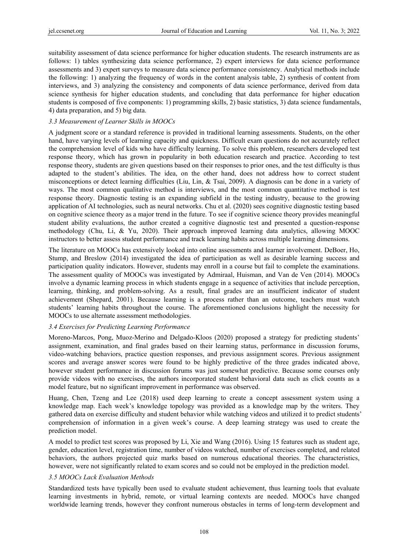suitability assessment of data science performance for higher education students. The research instruments are as follows: 1) tables synthesizing data science performance, 2) expert interviews for data science performance assessments and 3) expert surveys to measure data science performance consistency. Analytical methods include the following: 1) analyzing the frequency of words in the content analysis table, 2) synthesis of content from interviews, and 3) analyzing the consistency and components of data science performance, derived from data science synthesis for higher education students, and concluding that data performance for higher education students is composed of five components: 1) programming skills, 2) basic statistics, 3) data science fundamentals, 4) data preparation, and 5) big data.

## *3.3 Measurement of Learner Skills in MOOCs*

A judgment score or a standard reference is provided in traditional learning assessments. Students, on the other hand, have varying levels of learning capacity and quickness. Difficult exam questions do not accurately reflect the comprehension level of kids who have difficulty learning. To solve this problem, researchers developed test response theory, which has grown in popularity in both education research and practice. According to test response theory, students are given questions based on their responses to prior ones, and the test difficulty is thus adapted to the student's abilities. The idea, on the other hand, does not address how to correct student misconceptions or detect learning difficulties (Liu, Lin, & Tsai, 2009). A diagnosis can be done in a variety of ways. The most common qualitative method is interviews, and the most common quantitative method is test response theory. Diagnostic testing is an expanding subfield in the testing industry, because to the growing application of AI technologies, such as neural networks. Chu et al. (2020) sees cognitive diagnostic testing based on cognitive science theory as a major trend in the future. To see if cognitive science theory provides meaningful student ability evaluations, the author created a cognitive diagnostic test and presented a question-response methodology (Chu, Li, & Yu, 2020). Their approach improved learning data analytics, allowing MOOC instructors to better assess student performance and track learning habits across multiple learning dimensions.

The literature on MOOCs has extensively looked into online assessments and learner involvement. DeBoer, Ho, Stump, and Breslow (2014) investigated the idea of participation as well as desirable learning success and participation quality indicators. However, students may enroll in a course but fail to complete the examinations. The assessment quality of MOOCs was investigated by Admiraal, Huisman, and Van de Ven (2014). MOOCs involve a dynamic learning process in which students engage in a sequence of activities that include perception, learning, thinking, and problem-solving. As a result, final grades are an insufficient indicator of student achievement (Shepard, 2001). Because learning is a process rather than an outcome, teachers must watch students' learning habits throughout the course. The aforementioned conclusions highlight the necessity for MOOCs to use alternate assessment methodologies.

## *3.4 Exercises for Predicting Learning Performance*

Moreno-Marcos, Pong, Muoz-Merino and Delgado-Kloos (2020) proposed a strategy for predicting students' assignment, examination, and final grades based on their learning status, performance in discussion forums, video-watching behaviors, practice question responses, and previous assignment scores. Previous assignment scores and average answer scores were found to be highly predictive of the three grades indicated above, however student performance in discussion forums was just somewhat predictive. Because some courses only provide videos with no exercises, the authors incorporated student behavioral data such as click counts as a model feature, but no significant improvement in performance was observed.

Huang, Chen, Tzeng and Lee (2018) used deep learning to create a concept assessment system using a knowledge map. Each week's knowledge topology was provided as a knowledge map by the writers. They gathered data on exercise difficulty and student behavior while watching videos and utilized it to predict students' comprehension of information in a given week's course. A deep learning strategy was used to create the prediction model.

A model to predict test scores was proposed by Li, Xie and Wang (2016). Using 15 features such as student age, gender, education level, registration time, number of videos watched, number of exercises completed, and related behaviors, the authors projected quiz marks based on numerous educational theories. The characteristics, however, were not significantly related to exam scores and so could not be employed in the prediction model.

## *3.5 MOOCs Lack Evaluation Methods*

Standardized tests have typically been used to evaluate student achievement, thus learning tools that evaluate learning investments in hybrid, remote, or virtual learning contexts are needed. MOOCs have changed worldwide learning trends, however they confront numerous obstacles in terms of long-term development and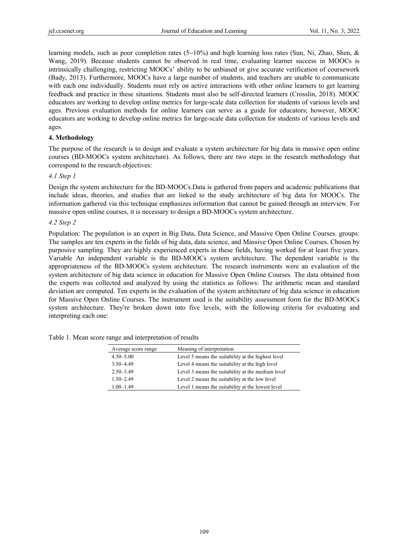learning models, such as poor completion rates (5−10%) and high learning loss rates (Sun, Ni, Zhao, Shen, & Wang, 2019). Because students cannot be observed in real time, evaluating learner success in MOOCs is intrinsically challenging, restricting MOOCs' ability to be unbiased or give accurate verification of coursework (Bady, 2013). Furthermore, MOOCs have a large number of students, and teachers are unable to communicate with each one individually. Students must rely on active interactions with other online learners to get learning feedback and practice in these situations. Students must also be self-directed learners (Crosslin, 2018). MOOC educators are working to develop online metrics for large-scale data collection for students of various levels and ages. Previous evaluation methods for online learners can serve as a guide for educators; however, MOOC educators are working to develop online metrics for large-scale data collection for students of various levels and ages.

## **4. Methodology**

The purpose of the research is to design and evaluate a system architecture for big data in massive open online courses (BD-MOOCs system architecture). As follows, there are two steps in the research methodology that correspond to the research objectives:

## *4.1 Step 1*

Design the system architecture for the BD-MOOCs.Data is gathered from papers and academic publications that include ideas, theories, and studies that are linked to the study architecture of big data for MOOCs. The information gathered via this technique emphasizes information that cannot be gained through an interview. For massive open online courses, it is necessary to design a BD-MOOCs system architecture.

## *4.2 Step 2*

Population: The population is an expert in Big Data, Data Science, and Massive Open Online Courses. groups: The samples are ten experts in the fields of big data, data science, and Massive Open Online Courses. Chosen by purposive sampling. They are highly experienced experts in these fields, having worked for at least five years. Variable An independent variable is the BD-MOOCs system architecture. The dependent variable is the appropriateness of the BD-MOOCs system architecture. The research instruments were an evaluation of the system architecture of big data science in education for Massive Open Online Courses. The data obtained from the experts was collected and analyzed by using the statistics as follows: The arithmetic mean and standard deviation are computed. Ten experts in the evaluation of the system architecture of big data science in education for Massive Open Online Courses. The instrument used is the suitability assessment form for the BD-MOOCs system architecture. They're broken down into five levels, with the following criteria for evaluating and interpreting each one:

Table 1. Mean score range and interpretation of results

| Average score range | Meaning of interpretation                          |
|---------------------|----------------------------------------------------|
| $4.50 - 5.00$       | Level 5 means the suitability at the highest level |
| $3.50 - 4.49$       | Level 4 means the suitability at the high level    |
| $2.50 - 3.49$       | Level 3 means the suitability at the medium level  |
| $1.50 - 2.49$       | Level 2 means the suitability at the low level     |
| $1.00 - 1.49$       | Level 1 means the suitability at the lowest level  |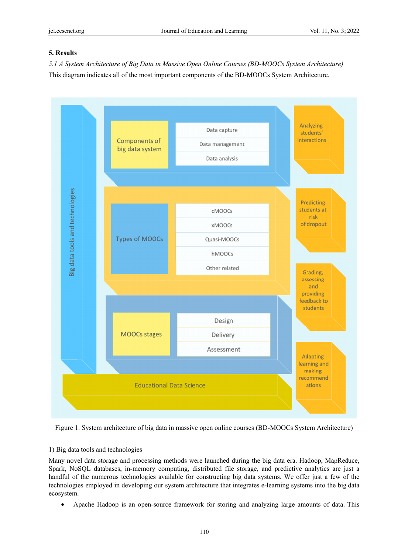# **5. Results**

5.1 A System Architecture of Big Data in Massive Open Online Courses (BD-MOOCs System Architecture) This diagram indicates all of the most important components of the BD-MOOCs System Architecture.



Figure 1. System architecture of big data in massive open online courses (BD-MOOCs System Architecture)

## 1) Big data tools and technologies

Many novel data storage and processing methods were launched during the big data era. Hadoop, MapReduce, Spark, NoSQL databases, in-memory computing, distributed file storage, and predictive analytics are just a handful of the numerous technologies available for constructing big data systems. We offer just a few of the technologies employed in developing our system architecture that integrates e-learning systems into the big data ecosystem.

• Apache Hadoop is an open-source framework for storing and analyzing large amounts of data. This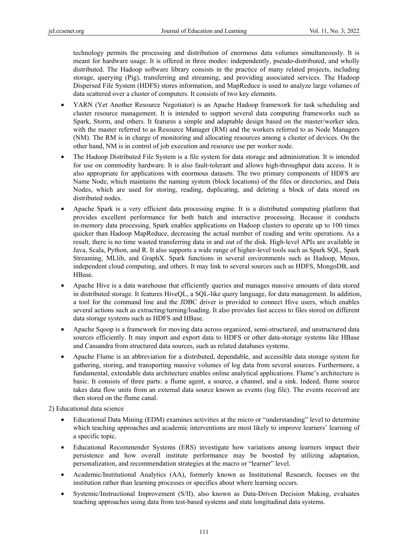technology permits the processing and distribution of enormous data volumes simultaneously. It is meant for hardware usage. It is offered in three modes: independently, pseudo-distributed, and wholly distributed. The Hadoop software library consists in the practice of many related projects, including storage, querying (Pig), transferring and streaming, and providing associated services. The Hadoop Dispersed File System (HDFS) stores information, and MapReduce is used to analyze large volumes of data scattered over a cluster of computers. It consists of two key elements.

- YARN (Yet Another Resource Negotiator) is an Apache Hadoop framework for task scheduling and cluster resource management. It is intended to support several data computing frameworks such as Spark, Storm, and others. It features a simple and adaptable design based on the master/worker idea, with the master referred to as Resource Manager (RM) and the workers referred to as Node Managers (NM). The RM is in charge of monitoring and allocating resources among a cluster of devices. On the other hand, NM is in control of job execution and resource use per worker node.
- The Hadoop Distributed File System is a file system for data storage and administration. It is intended for use on commodity hardware. It is also fault-tolerant and allows high-throughput data access. It is also appropriate for applications with enormous datasets. The two primary components of HDFS are Name Node, which maintains the naming system (block locations) of the files or directories, and Data Nodes, which are used for storing, reading, duplicating, and deleting a block of data stored on distributed nodes.
- Apache Spark is a very efficient data processing engine. It is a distributed computing platform that provides excellent performance for both batch and interactive processing. Because it conducts in-memory data processing, Spark enables applications on Hadoop clusters to operate up to 100 times quicker than Hadoop MapReduce, decreasing the actual number of reading and write operations. As a result, there is no time wasted transferring data in and out of the disk. High-level APIs are available in Java, Scala, Python, and R. It also supports a wide range of higher-level tools such as Spark SQL, Spark Streaming, MLlib, and GraphX. Spark functions in several environments such as Hadoop, Mesos, independent cloud computing, and others. It may link to several sources such as HDFS, MongoDB, and HBase.
- Apache Hive is a data warehouse that efficiently queries and manages massive amounts of data stored in distributed storage. It features HiveQL, a SQL-like query language, for data management. In addition, a tool for the command line and the JDBC driver is provided to connect Hive users, which enables several actions such as extracting/turning/loading. It also provides fast access to files stored on different data storage systems such as HDFS and HBase.
- Apache Sqoop is a framework for moving data across organized, semi-structured, and unstructured data sources efficiently. It may import and export data to HDFS or other data-storage systems like HBase and Cassandra from structured data sources, such as related databases systems.
- Apache Flume is an abbreviation for a distributed, dependable, and accessible data storage system for gathering, storing, and transporting massive volumes of log data from several sources. Furthermore, a fundamental, extendable data architecture enables online analytical applications. Flume's architecture is basic. It consists of three parts: a flume agent, a source, a channel, and a sink. Indeed, flume source takes data flow units from an external data source known as events (log file). The events received are then stored on the flume canal.

2) Educational data science

- Educational Data Mining (EDM) examines activities at the micro or "understanding" level to determine which teaching approaches and academic interventions are most likely to improve learners' learning of a specific topic.
- Educational Recommender Systems (ERS) investigate how variations among learners impact their persistence and how overall institute performance may be boosted by utilizing adaptation, personalization, and recommendation strategies at the macro or "learner" level.
- Academic/Institutional Analytics (AA), formerly known as Institutional Research, focuses on the institution rather than learning processes or specifics about where learning occurs.
- Systemic/Instructional Improvement (S/II), also known as Data-Driven Decision Making, evaluates teaching approaches using data from test-based systems and state longitudinal data systems.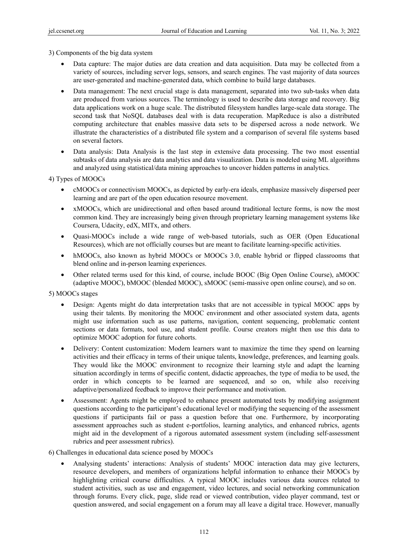3) Components of the big data system

- Data capture: The major duties are data creation and data acquisition. Data may be collected from a variety of sources, including server logs, sensors, and search engines. The vast majority of data sources are user-generated and machine-generated data, which combine to build large databases.
- Data management: The next crucial stage is data management, separated into two sub-tasks when data are produced from various sources. The terminology is used to describe data storage and recovery. Big data applications work on a huge scale. The distributed filesystem handles large-scale data storage. The second task that NoSQL databases deal with is data recuperation. MapReduce is also a distributed computing architecture that enables massive data sets to be dispersed across a node network. We illustrate the characteristics of a distributed file system and a comparison of several file systems based on several factors.
- Data analysis: Data Analysis is the last step in extensive data processing. The two most essential subtasks of data analysis are data analytics and data visualization. Data is modeled using ML algorithms and analyzed using statistical/data mining approaches to uncover hidden patterns in analytics.

4) Types of MOOCs

- cMOOCs or connectivism MOOCs, as depicted by early-era ideals, emphasize massively dispersed peer learning and are part of the open education resource movement.
- xMOOCs, which are unidirectional and often based around traditional lecture forms, is now the most common kind. They are increasingly being given through proprietary learning management systems like Coursera, Udacity, edX, MITx, and others.
- Quasi-MOOCs include a wide range of web-based tutorials, such as OER (Open Educational Resources), which are not officially courses but are meant to facilitate learning-specific activities.
- hMOOCs, also known as hybrid MOOCs or MOOCs 3.0, enable hybrid or flipped classrooms that blend online and in-person learning experiences.
- Other related terms used for this kind, of course, include BOOC (Big Open Online Course), aMOOC (adaptive MOOC), bMOOC (blended MOOC), sMOOC (semi-massive open online course), and so on.

5) MOOCs stages

- Design: Agents might do data interpretation tasks that are not accessible in typical MOOC apps by using their talents. By monitoring the MOOC environment and other associated system data, agents might use information such as use patterns, navigation, content sequencing, problematic content sections or data formats, tool use, and student profile. Course creators might then use this data to optimize MOOC adoption for future cohorts.
- Delivery: Content customization: Modern learners want to maximize the time they spend on learning activities and their efficacy in terms of their unique talents, knowledge, preferences, and learning goals. They would like the MOOC environment to recognize their learning style and adapt the learning situation accordingly in terms of specific content, didactic approaches, the type of media to be used, the order in which concepts to be learned are sequenced, and so on, while also receiving adaptive/personalized feedback to improve their performance and motivation.
- Assessment: Agents might be employed to enhance present automated tests by modifying assignment questions according to the participant's educational level or modifying the sequencing of the assessment questions if participants fail or pass a question before that one. Furthermore, by incorporating assessment approaches such as student e-portfolios, learning analytics, and enhanced rubrics, agents might aid in the development of a rigorous automated assessment system (including self-assessment rubrics and peer assessment rubrics).

6) Challenges in educational data science posed by MOOCs

• Analysing students' interactions: Analysis of students' MOOC interaction data may give lecturers, resource developers, and members of organizations helpful information to enhance their MOOCs by highlighting critical course difficulties. A typical MOOC includes various data sources related to student activities, such as use and engagement, video lectures, and social networking communication through forums. Every click, page, slide read or viewed contribution, video player command, test or question answered, and social engagement on a forum may all leave a digital trace. However, manually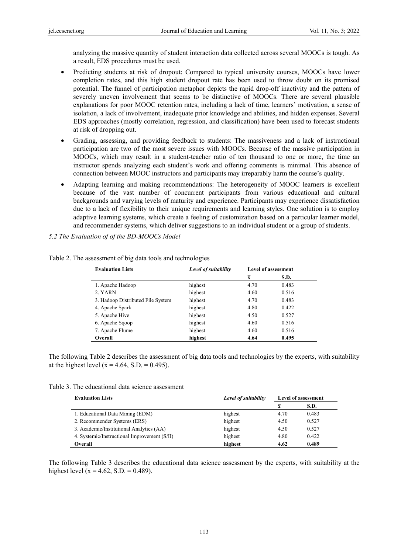analyzing the massive quantity of student interaction data collected across several MOOCs is tough. As a result, EDS procedures must be used.

- Predicting students at risk of dropout: Compared to typical university courses, MOOCs have lower completion rates, and this high student dropout rate has been used to throw doubt on its promised potential. The funnel of participation metaphor depicts the rapid drop-off inactivity and the pattern of severely uneven involvement that seems to be distinctive of MOOCs. There are several plausible explanations for poor MOOC retention rates, including a lack of time, learners' motivation, a sense of isolation, a lack of involvement, inadequate prior knowledge and abilities, and hidden expenses. Several EDS approaches (mostly correlation, regression, and classification) have been used to forecast students at risk of dropping out.
- Grading, assessing, and providing feedback to students: The massiveness and a lack of instructional participation are two of the most severe issues with MOOCs. Because of the massive participation in MOOCs, which may result in a student-teacher ratio of ten thousand to one or more, the time an instructor spends analyzing each student's work and offering comments is minimal. This absence of connection between MOOC instructors and participants may irreparably harm the course's quality.
- Adapting learning and making recommendations: The heterogeneity of MOOC learners is excellent because of the vast number of concurrent participants from various educational and cultural backgrounds and varying levels of maturity and experience. Participants may experience dissatisfaction due to a lack of flexibility to their unique requirements and learning styles. One solution is to employ adaptive learning systems, which create a feeling of customization based on a particular learner model, and recommender systems, which deliver suggestions to an individual student or a group of students.

*5.2 The Evaluation of of the BD-MOOCs Model* 

| <b>Evaluation Lists</b>           | Level of suitability | <b>Level of assessment</b> |       |
|-----------------------------------|----------------------|----------------------------|-------|
|                                   |                      | $\overline{\mathbf{x}}$    | S.D.  |
| 1. Apache Hadoop                  | highest              | 4.70                       | 0.483 |
| 2. YARN                           | highest              | 4.60                       | 0.516 |
| 3. Hadoop Distributed File System | highest              | 4.70                       | 0.483 |
| 4. Apache Spark                   | highest              | 4.80                       | 0.422 |
| 5. Apache Hive                    | highest              | 4.50                       | 0.527 |
| 6. Apache Sqoop                   | highest              | 4.60                       | 0.516 |
| 7. Apache Flume                   | highest              | 4.60                       | 0.516 |
| Overall                           | highest              | 4.64                       | 0.495 |

Table 2. The assessment of big data tools and technologies

The following Table 2 describes the assessment of big data tools and technologies by the experts, with suitability at the highest level ( $\bar{x}$  = 4.64, S.D. = 0.495).

Table 3. The educational data science assessment

| <b>Evaluation Lists</b>                      | Level of suitability | <b>Level of assessment</b> |       |
|----------------------------------------------|----------------------|----------------------------|-------|
|                                              |                      | X                          | S.D.  |
| 1. Educational Data Mining (EDM)             | highest              | 4.70                       | 0.483 |
| 2. Recommender Systems (ERS)                 | highest              | 4.50                       | 0.527 |
| 3. Academic/Institutional Analytics (AA)     | highest              | 4.50                       | 0.527 |
| 4. Systemic/Instructional Improvement (S/II) | highest              | 4.80                       | 0.422 |
| Overall                                      | highest              | 4.62                       | 0.489 |

The following Table 3 describes the educational data science assessment by the experts, with suitability at the highest level ( $\bar{x} = 4.62$ , S.D. = 0.489).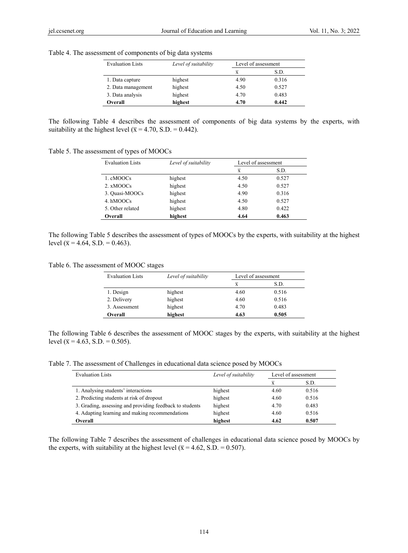| <b>Evaluation Lists</b> | Level of suitability | Level of assessment |       |
|-------------------------|----------------------|---------------------|-------|
|                         |                      | X                   | S.D.  |
| 1. Data capture         | highest              | 4.90                | 0.316 |
| 2. Data management      | highest              | 4.50                | 0.527 |
| 3. Data analysis        | highest              | 4.70                | 0.483 |
| Overall                 | highest              | 4.70                | 0.442 |

Table 4. The assessment of components of big data systems

The following Table 4 describes the assessment of components of big data systems by the experts, with suitability at the highest level ( $\bar{x}$  = 4.70, S.D. = 0.442).

Table 5. The assessment of types of MOOCs

| <b>Evaluation Lists</b> | Level of suitability | Level of assessment     |       |
|-------------------------|----------------------|-------------------------|-------|
|                         |                      | $\overline{\mathbf{x}}$ | S.D.  |
| 1. cMOOCs               | highest              | 4.50                    | 0.527 |
| 2. xMOOCs               | highest              | 4.50                    | 0.527 |
| 3. Quasi-MOOCs          | highest              | 4.90                    | 0.316 |
| 4. hMOOCs               | highest              | 4.50                    | 0.527 |
| 5. Other related        | highest              | 4.80                    | 0.422 |
| Overall                 | highest              | 4.64                    | 0.463 |

The following Table 5 describes the assessment of types of MOOCs by the experts, with suitability at the highest level ( $\bar{x}$  = 4.64, S.D. = 0.463).

Table 6. The assessment of MOOC stages

| <b>Evaluation Lists</b> | Level of suitability |                | Level of assessment |  |  |
|-------------------------|----------------------|----------------|---------------------|--|--|
|                         |                      | $\overline{x}$ | S.D.                |  |  |
| 1. Design               | highest              | 4.60           | 0.516               |  |  |
| 2. Delivery             | highest              | 4.60           | 0.516               |  |  |
| 3. Assessment           | highest              | 4.70           | 0.483               |  |  |
| Overall                 | highest              | 4.63           | 0.505               |  |  |

The following Table 6 describes the assessment of MOOC stages by the experts, with suitability at the highest level ( $\bar{x}$  = 4.63, S.D. = 0.505).

Table 7. The assessment of Challenges in educational data science posed by MOOCs

| <b>Evaluation Lists</b>                                  | Level of suitability | Level of assessment |       |
|----------------------------------------------------------|----------------------|---------------------|-------|
|                                                          |                      | $\overline{x}$      | S.D.  |
| 1. Analysing students' interactions                      | highest              | 4.60                | 0.516 |
| 2. Predicting students at risk of dropout                | highest              | 4.60                | 0.516 |
| 3. Grading, assessing and providing feedback to students | highest              | 4.70                | 0.483 |
| 4. Adapting learning and making recommendations          | highest              | 4.60                | 0.516 |
| Overall                                                  | highest              | 4.62                | 0.507 |

The following Table 7 describes the assessment of challenges in educational data science posed by MOOCs by the experts, with suitability at the highest level ( $\bar{x}$  = 4.62, S.D. = 0.507).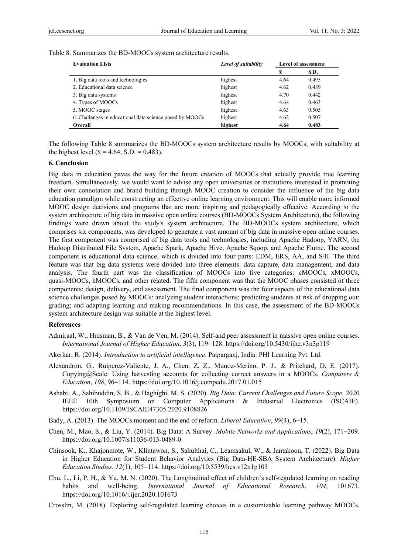Table 8. Summarizes the BD-MOOCs system architecture results.

| <b>Evaluation Lists</b>                                  | Level of suitability | <b>Level of assessment</b> |       |
|----------------------------------------------------------|----------------------|----------------------------|-------|
|                                                          |                      | $\mathbf x$                | S.D.  |
| 1. Big data tools and technologies                       | highest              | 4.64                       | 0.495 |
| 2. Educational data science                              | highest              | 4.62                       | 0.489 |
| 3. Big data systems                                      | highest              | 4.70                       | 0.442 |
| 4. Types of MOOCs                                        | highest              | 4.64                       | 0.463 |
| 5. MOOC stages                                           | highest              | 4.63                       | 0.505 |
| 6. Challenges in educational data science posed by MOOCs | highest              | 4.62                       | 0.507 |
| Overall                                                  | highest              | 4.64                       | 0.483 |

The following Table 8 summarizes the BD-MOOCs system architecture results by MOOCs, with suitability at the highest level ( $\overline{x}$  = 4.64, S.D. = 0.483).

## **6. Conclusion**

Big data in education paves the way for the future creation of MOOCs that actually provide true learning freedom. Simultaneously, we would want to advise any open universities or institutions interested in promoting their own connotation and brand building through MOOC creation to consider the influence of the big data education paradigm while constructing an effective online learning environment. This will enable more informed MOOC design decisions and programs that are more inspiring and pedagogically effective. According to the system architecture of big data in massive open online courses (BD-MOOCs System Architecture), the following findings were drawn about the study's system architecture. The BD-MOOCs system architecture, which comprises six components, was developed to generate a vast amount of big data in massive open online courses. The first component was comprised of big data tools and technologies, including Apache Hadoop, YARN, the Hadoop Distributed File System, Apache Spark, Apache Hive, Apache Sqoop, and Apache Flume. The second component is educational data science, which is divided into four parts: EDM, ERS, AA, and S/II. The third feature was that big data systems were divided into three elements: data capture, data management, and data analysis. The fourth part was the classification of MOOCs into five categories: cMOOCs, xMOOCs, quasi-MOOCs, hMOOCs, and other related. The fifth component was that the MOOC phases consisted of three components: design, delivery, and assessment. The final component was the four aspects of the educational data science challenges posed by MOOCs: analyzing student interactions; predicting students at risk of dropping out; grading; and adapting learning and making recommendations. In this case, the assessment of the BD-MOOCs system architecture design was suitable at the highest level.

#### **References**

- Admiraal, W., Huisman, B., & Van de Ven, M. (2014). Self-and peer assessment in massive open online courses. *International Journal of Higher Education*, *3*(3), 119−128. https://doi.org/10.5430/ijhe.v3n3p119
- Akerkar, R. (2014). *Introduction to artificial intelligence*. Patparganj, India: PHI Learning Pvt. Ltd.
- Alexandron, G., Ruiperez-Valiente, J. A., Chen, Z. Z., Munoz-Merino, P. J., & Pritchard, D. E. (2017). Copying@Scale: Using harvesting accounts for collecting correct answers in a MOOCs. *Computers & Education*, *108*, 96−114. https://doi.org/10.1016/j.compedu.2017.01.015
- Ashabi, A., Sahibuddin, S. B., & Haghighi, M. S. (2020). *Big Data: Current Challenges and Future Scope*. 2020 IEEE 10th Symposium on Computer Applications & Industrial Electronics (ISCAIE). https://doi.org/10.1109/ISCAIE47305.2020.9108826
- Bady, A. (2013). The MOOCs moment and the end of reform. *Liberal Education*, *99*(4), 6−15.
- Chen, M., Mao, S., & Liu, Y. (2014). Big Data: A Survey. *Mobile Networks and Applications*, *19*(2), 171−209. https://doi.org/10.1007/s11036-013-0489-0
- Chinsook, K., Khajonmote, W., Klintawon, S., Sakulthai, C., Leamsakul, W., & Jantakoon, T. (2022). Big Data in Higher Education for Student Behavior Analytics (Big Data-HE-SBA System Architecture). *Higher Education Studies*, *12*(1), 105−114. https://doi.org/10.5539/hes.v12n1p105
- Chu, L., Li, P. H., & Yu, M. N. (2020). The Longitudinal effect of children's self-regulated learning on reading habits and well-being. *International Journal of Educational Research*, *104*, 101673. https://doi.org/10.1016/j.ijer.2020.101673
- Crosslin, M. (2018). Exploring self-regulated learning choices in a customizable learning pathway MOOCs.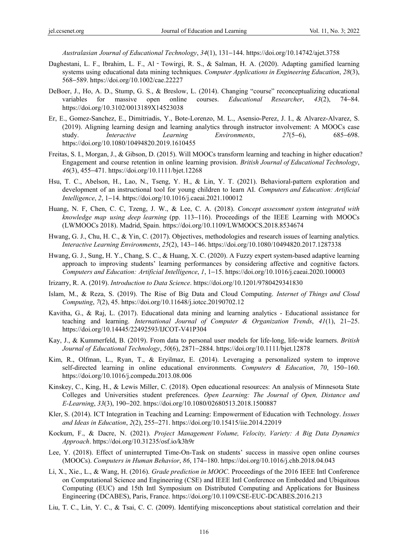*Australasian Journal of Educational Technology*, *34*(1), 131−144. https://doi.org/10.14742/ajet.3758

- Daghestani, L. F., Ibrahim, L. F., Al Towirgi, R. S., & Salman, H. A. (2020). Adapting gamified learning systems using educational data mining techniques. *Computer Applications in Engineering Education*, *28*(3), 568−589. https://doi.org/10.1002/cae.22227
- DeBoer, J., Ho, A. D., Stump, G. S., & Breslow, L. (2014). Changing "course" reconceptualizing educational variables for massive open online courses. *Educational Researcher*, *43*(2), 74−84. https://doi.org/10.3102/0013189X14523038
- Er, E., Gomez-Sanchez, E., Dimitriadis, Y., Bote-Lorenzo, M. L., Asensio-Perez, J. I., & Alvarez-Alvarez, S. (2019). Aligning learning design and learning analytics through instructor involvement: A MOOCs case study. *Interactive Learning Environments*, *27*(5−6), 685−698. https://doi.org/10.1080/10494820.2019.1610455
- Freitas, S. I., Morgan, J., & Gibson, D. (2015). Will MOOCs transform learning and teaching in higher education? Engagement and course retention in online learning provision. *British Journal of Educational Technology*, *46*(3), 455−471. https://doi.org/10.1111/bjet.12268
- Hsu, T. C., Abelson, H., Lao, N., Tseng, Y. H., & Lin, Y. T. (2021). Behavioral-pattern exploration and development of an instructional tool for young children to learn AI. *Computers and Education: Artificial Intelligence*, *2*, 1−14. https://doi.org/10.1016/j.caeai.2021.100012
- Huang, N. F, Chen, C. C, Tzeng, J. W., & Lee, C. A. (2018). *Concept assessment system integrated with knowledge map using deep learning* (pp. 113−116). Proceedings of the IEEE Learning with MOOCs (LWMOOCs 2018). Madrid, Spain. https://doi.org/10.1109/LWMOOCS.2018.8534674
- Hwang, G. J., Chu, H. C., & Yin, C. (2017). Objectives, methodologies and research issues of learning analytics. *Interactive Learning Environments*, *25*(2), 143−146. https://doi.org/10.1080/10494820.2017.1287338
- Hwang, G. J., Sung, H. Y., Chang, S. C., & Huang, X. C. (2020). A Fuzzy expert system-based adaptive learning approach to improving students' learning performances by considering affective and cognitive factors. *Computers and Education: Artificial Intelligence*, *1*, 1−15. https://doi.org/10.1016/j.caeai.2020.100003
- Irizarry, R. A. (2019). *Introduction to Data Science*. https://doi.org/10.1201/9780429341830
- Islam, M., & Reza, S. (2019). The Rise of Big Data and Cloud Computing. *Internet of Things and Cloud Computing*, *7*(2), 45. https://doi.org/10.11648/j.iotcc.20190702.12
- Kavitha, G., & Raj, L. (2017). Educational data mining and learning analytics Educational assistance for teaching and learning. *International Journal of Computer & Organization Trends*, *41*(1), 21−25. https://doi.org/10.14445/22492593/IJCOT-V41P304
- Kay, J., & Kummerfeld, B. (2019). From data to personal user models for life-long, life-wide learners. *British Journal of Educational Technology*, *50*(6), 2871−2884. https://doi.org/10.1111/bjet.12878
- Kim, R., Olfman, L., Ryan, T., & Eryilmaz, E. (2014). Leveraging a personalized system to improve self-directed learning in online educational environments. *Computers & Education*, *70*, 150−160. https://doi.org/10.1016/j.compedu.2013.08.006
- Kinskey, C., King, H., & Lewis Miller, C. (2018). Open educational resources: An analysis of Minnesota State Colleges and Universities student preferences. *Open Learning: The Journal of Open, Distance and E-Learning*, *33*(3), 190−202. https://doi.org/10.1080/02680513.2018.1500887
- Kler, S. (2014). ICT Integration in Teaching and Learning: Empowerment of Education with Technology. *Issues and Ideas in Education*, *2*(2), 255−271. https://doi.org/10.15415/iie.2014.22019
- Kockum, F., & Dacre, N. (2021). *Project Management Volume, Velocity, Variety: A Big Data Dynamics Approach*. https://doi.org/10.31235/osf.io/k3h9r
- Lee, Y. (2018). Effect of uninterrupted Time-On-Task on students' success in massive open online courses (MOOCs). *Computers in Human Behavior*, *86*, 174−180. https://doi.org/10.1016/j.chb.2018.04.043
- Li, X., Xie., L., & Wang, H. (2016). *Grade prediction in MOOC*. Proceedings of the 2016 IEEE Intl Conference on Computational Science and Engineering (CSE) and IEEE Intl Conference on Embedded and Ubiquitous Computing (EUC) and 15th Intl Symposium on Distributed Computing and Applications for Business Engineering (DCABES), Paris, France. https://doi.org/10.1109/CSE-EUC-DCABES.2016.213
- Liu, T. C., Lin, Y. C., & Tsai, C. C. (2009). Identifying misconceptions about statistical correlation and their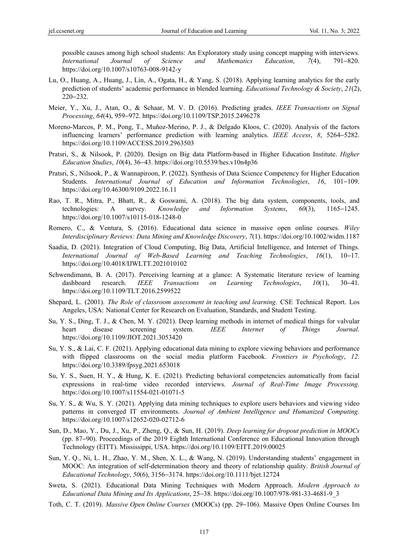possible causes among high school students: An Exploratory study using concept mapping with interviews. *International Journal of Science and Mathematics Education*, *7*(4), 791−820. https://doi.org/10.1007/s10763-008-9142-y

- Lu, O., Huang, A., Huang, J., Lin, A., Ogata, H., & Yang, S. (2018). Applying learning analytics for the early prediction of students' academic performance in blended learning. *Educational Technology & Society*, *21*(2), 220−232.
- Meier, Y., Xu, J., Atan, O., & Schaar, M. V. D. (2016). Predicting grades. *IEEE Transactions on Signal Processing*, *64*(4), 959−972. https://doi.org/10.1109/TSP.2015.2496278
- Moreno-Marcos, P. M., Pong, T., Muñoz-Merino, P. J., & Delgado Kloos, C. (2020). Analysis of the factors influencing learners' performance prediction with learning analytics. *IEEE Access*, *8*, 5264−5282. https://doi.org/10.1109/ACCESS.2019.2963503
- Pratsri, S., & Nilsook, P. (2020). Design on Big data Platform-based in Higher Education Institute. *Higher Education Studies*, *10*(4), 36−43. https://doi.org/10.5539/hes.v10n4p36
- Pratsri, S., Nilsook, P., & Wannapiroon, P. (2022). Synthesis of Data Science Competency for Higher Education Students. *International Journal of Education and Information Technologies*, *16*, 101−109. https://doi.org/10.46300/9109.2022.16.11
- Rao, T. R., Mitra, P., Bhatt, R., & Goswami, A. (2018). The big data system, components, tools, and technologies: A survey. *Knowledge and Information Systems*, *60*(3), 1165−1245. https://doi.org/10.1007/s10115-018-1248-0
- Romero, C., & Ventura, S. (2016). Educational data science in massive open online courses. *Wiley Interdisciplinary Reviews: Data Mining and Knowledge Discovery*, *7*(1). https://doi.org/10.1002/widm.1187
- Saadia, D. (2021). Integration of Cloud Computing, Big Data, Artificial Intelligence, and Internet of Things. *International Journal of Web-Based Learning and Teaching Technologies*, *16*(1), 10−17. https://doi.org/10.4018/IJWLTT.2021010102
- Schwendimann, B. A. (2017). Perceiving learning at a glance: A Systematic literature review of learning dashboard research. *IEEE Transactions on Learning Technologies*, *10*(1), 30−41. https://doi.org/10.1109/TLT.2016.2599522
- Shepard, L. (2001). *The Role of classroom assessment in teaching and learning*. CSE Technical Report. Los Angeles, USA: National Center for Research on Evaluation, Standards, and Student Testing.
- Su, Y. S., Ding, T. J., & Chen, M. Y. (2021). Deep learning methods in internet of medical things for valvular heart disease screening system. *IEEE Internet of Things Journal*. https://doi.org/10.1109/JIOT.2021.3053420
- Su, Y. S., & Lai, C. F. (2021). Applying educational data mining to explore viewing behaviors and performance with flipped classrooms on the social media platform Facebook. *Frontiers in Psychology*, *12*. https://doi.org/10.3389/fpsyg.2021.653018
- Su, Y. S., Suen, H. Y., & Hung, K. E. (2021). Predicting behavioral competencies automatically from facial expressions in real-time video recorded interviews. *Journal of Real-Time Image Processing*. https://doi.org/10.1007/s11554-021-01071-5
- Su, Y. S., & Wu, S. Y. (2021). Applying data mining techniques to explore users behaviors and viewing video patterns in converged IT environments. *Journal of Ambient Intelligence and Humanized Computing*. https://doi.org/10.1007/s12652-020-02712-6
- Sun, D., Mao, Y., Du, J., Xu, P., Zheng, Q., & Sun, H. (2019). *Deep learning for dropout prediction in MOOCs* (pp. 87−90). Proceedings of the 2019 Eighth International Conference on Educational Innovation through Technology (EITT). Mississippi, USA. https://doi.org/10.1109/EITT.2019.00025
- Sun, Y. Q., Ni, L. H., Zhao, Y. M., Shen, X. L., & Wang, N. (2019). Understanding students' engagement in MOOC: An integration of self-determination theory and theory of relationship quality. *British Journal of Educational Technology*, *50*(6), 3156−3174. https://doi.org/10.1111/bjet.12724
- Sweta, S. (2021). Educational Data Mining Techniques with Modern Approach. *Modern Approach to Educational Data Mining and Its Applications*, 25−38. https://doi.org/10.1007/978-981-33-4681-9\_3
- Toth, C. T. (2019). *Massive Open Online Courses* (MOOCs) (pp. 29−106). Massive Open Online Courses Im